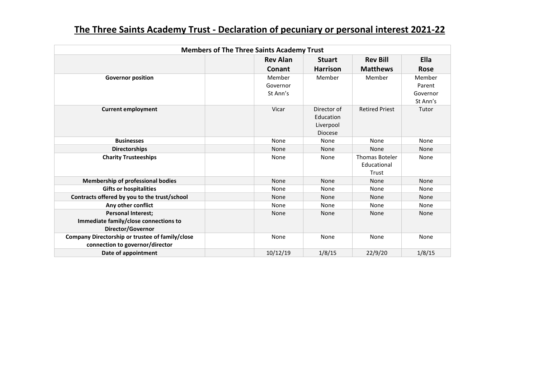| <b>Members of The Three Saints Academy Trust</b>                                        |                                |                                                         |                                               |                                          |  |  |  |  |
|-----------------------------------------------------------------------------------------|--------------------------------|---------------------------------------------------------|-----------------------------------------------|------------------------------------------|--|--|--|--|
|                                                                                         | <b>Rev Alan</b>                | <b>Stuart</b>                                           | <b>Rev Bill</b>                               | <b>Ella</b>                              |  |  |  |  |
|                                                                                         | Conant                         | <b>Harrison</b>                                         | <b>Matthews</b>                               | <b>Rose</b>                              |  |  |  |  |
| <b>Governor position</b>                                                                | Member<br>Governor<br>St Ann's | Member                                                  | Member                                        | Member<br>Parent<br>Governor<br>St Ann's |  |  |  |  |
| <b>Current employment</b>                                                               | Vicar                          | Director of<br>Education<br>Liverpool<br><b>Diocese</b> | <b>Retired Priest</b>                         | Tutor                                    |  |  |  |  |
| <b>Businesses</b>                                                                       | None                           | None                                                    | None                                          | None                                     |  |  |  |  |
| <b>Directorships</b>                                                                    | None                           | None                                                    | <b>None</b>                                   | None                                     |  |  |  |  |
| <b>Charity Trusteeships</b>                                                             | None                           | None                                                    | <b>Thomas Boteler</b><br>Educational<br>Trust | None                                     |  |  |  |  |
| <b>Membership of professional bodies</b>                                                | None                           | None                                                    | None                                          | None                                     |  |  |  |  |
| <b>Gifts or hospitalities</b>                                                           | None                           | None                                                    | None                                          | None                                     |  |  |  |  |
| Contracts offered by you to the trust/school                                            | None                           | None                                                    | None                                          | None                                     |  |  |  |  |
| Any other conflict                                                                      | None                           | None                                                    | None                                          | None                                     |  |  |  |  |
| <b>Personal Interest;</b><br>Immediate family/close connections to<br>Director/Governor | None                           | <b>None</b>                                             | None                                          | None                                     |  |  |  |  |
| Company Directorship or trustee of family/close<br>connection to governor/director      | None                           | None                                                    | None                                          | None                                     |  |  |  |  |
| Date of appointment                                                                     | 10/12/19                       | 1/8/15                                                  | 22/9/20                                       | 1/8/15                                   |  |  |  |  |

## **The Three Saints Academy Trust - Declaration of pecuniary or personal interest 2021-22**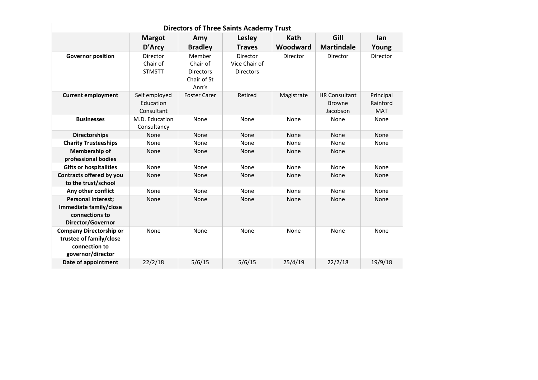| <b>Directors of Three Saints Academy Trust</b>                                                  |                                          |                                                                |                                               |            |                                                   |                                     |  |  |  |  |
|-------------------------------------------------------------------------------------------------|------------------------------------------|----------------------------------------------------------------|-----------------------------------------------|------------|---------------------------------------------------|-------------------------------------|--|--|--|--|
|                                                                                                 | <b>Margot</b>                            | Amy                                                            | Lesley                                        | Kath       | Gill                                              | lan                                 |  |  |  |  |
|                                                                                                 | D'Arcy                                   | <b>Bradley</b>                                                 | <b>Traves</b>                                 | Woodward   | <b>Martindale</b>                                 | Young                               |  |  |  |  |
| <b>Governor position</b>                                                                        | Director<br>Chair of<br><b>STMSTT</b>    | Member<br>Chair of<br><b>Directors</b><br>Chair of St<br>Ann's | Director<br>Vice Chair of<br><b>Directors</b> | Director   | Director                                          | Director                            |  |  |  |  |
| <b>Current employment</b>                                                                       | Self employed<br>Education<br>Consultant | <b>Foster Carer</b>                                            | Retired                                       | Magistrate | <b>HR Consultant</b><br><b>Browne</b><br>Jacobson | Principal<br>Rainford<br><b>MAT</b> |  |  |  |  |
| <b>Businesses</b>                                                                               | M.D. Education<br>Consultancy            | None                                                           | None                                          | None       | None                                              | None                                |  |  |  |  |
| <b>Directorships</b>                                                                            | <b>None</b>                              | None                                                           | None                                          | None       | None                                              | None                                |  |  |  |  |
| <b>Charity Trusteeships</b>                                                                     | None                                     | None                                                           | None                                          | None       | None                                              | None                                |  |  |  |  |
| Membership of<br>professional bodies                                                            | None                                     | None                                                           | None                                          | None       | None                                              |                                     |  |  |  |  |
| <b>Gifts or hospitalities</b>                                                                   | None                                     | None                                                           | None                                          | None       | None                                              | None                                |  |  |  |  |
| Contracts offered by you<br>to the trust/school                                                 | None                                     | None                                                           | None                                          | None       | None                                              | None                                |  |  |  |  |
| Any other conflict                                                                              | None                                     | None                                                           | None                                          | None       | None                                              | None                                |  |  |  |  |
| <b>Personal Interest;</b><br>Immediate family/close<br>connections to<br>Director/Governor      | <b>None</b>                              | None                                                           | None                                          | None       | None                                              | None                                |  |  |  |  |
| <b>Company Directorship or</b><br>trustee of family/close<br>connection to<br>governor/director | None                                     | None                                                           | None                                          | None       | None                                              | None                                |  |  |  |  |
| Date of appointment                                                                             | 22/2/18                                  | 5/6/15                                                         | 5/6/15                                        | 25/4/19    | 22/2/18                                           | 19/9/18                             |  |  |  |  |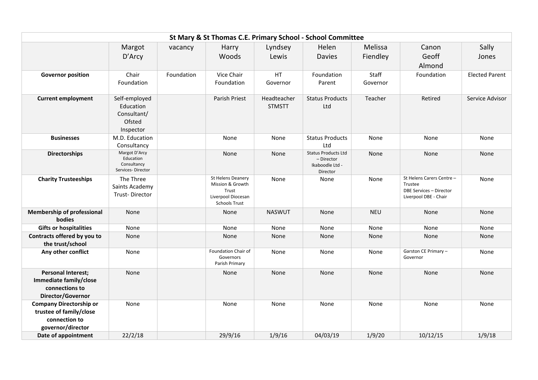| St Mary & St Thomas C.E. Primary School - School Committee                                      |                                                                  |            |                                                                                              |                              |                                                                         |                   |                                                                                          |                       |  |  |
|-------------------------------------------------------------------------------------------------|------------------------------------------------------------------|------------|----------------------------------------------------------------------------------------------|------------------------------|-------------------------------------------------------------------------|-------------------|------------------------------------------------------------------------------------------|-----------------------|--|--|
|                                                                                                 | Margot                                                           | vacancy    | Harry                                                                                        | Lyndsey                      | Helen                                                                   | Melissa           | Canon                                                                                    | Sally                 |  |  |
|                                                                                                 | D'Arcy                                                           |            | Woods                                                                                        | Lewis                        | <b>Davies</b>                                                           | Fiendley          | Geoff<br>Almond                                                                          | Jones                 |  |  |
| <b>Governor position</b>                                                                        | Chair<br>Foundation                                              | Foundation | Vice Chair<br>Foundation                                                                     | HT<br>Governor               | Foundation<br>Parent                                                    | Staff<br>Governor | Foundation                                                                               | <b>Elected Parent</b> |  |  |
| <b>Current employment</b>                                                                       | Self-employed<br>Education<br>Consultant/<br>Ofsted<br>Inspector |            | Parish Priest                                                                                | Headteacher<br><b>STMSTT</b> | <b>Status Products</b><br>Ltd                                           | Teacher           | Retired                                                                                  | Service Advisor       |  |  |
| <b>Businesses</b>                                                                               | M.D. Education<br>Consultancy                                    |            | None                                                                                         | None                         | <b>Status Products</b><br>Ltd                                           | None              | None                                                                                     | None                  |  |  |
| <b>Directorships</b>                                                                            | Margot D'Arcy<br>Education<br>Consultancy<br>Services-Director   |            | None                                                                                         | None                         | <b>Status Products Ltd</b><br>- Director<br>Ikaboodle Ltd -<br>Director | None              | None                                                                                     | None                  |  |  |
| <b>Charity Trusteeships</b>                                                                     | The Three<br>Saints Academy<br>Trust-Director                    |            | St Helens Deanery<br>Mission & Growth<br>Trust<br>Liverpool Diocesan<br><b>Schools Trust</b> | None                         | None                                                                    | None              | St Helens Carers Centre -<br>Trustee<br>DBE Services - Director<br>Liverpool DBE - Chair | None                  |  |  |
| <b>Membership of professional</b><br>bodies                                                     | None                                                             |            | None                                                                                         | <b>NASWUT</b>                | None                                                                    | <b>NEU</b>        | None                                                                                     | None                  |  |  |
| <b>Gifts or hospitalities</b>                                                                   | None                                                             |            | None                                                                                         | None                         | None                                                                    | None              | None                                                                                     | None                  |  |  |
| Contracts offered by you to<br>the trust/school                                                 | None                                                             |            | None                                                                                         | None                         | None                                                                    | None              | None                                                                                     | None                  |  |  |
| Any other conflict                                                                              | None                                                             |            | Foundation Chair of<br>Governors<br>Parish Primary                                           | None                         | None                                                                    | None              | Garston CE Primary -<br>Governor                                                         | None                  |  |  |
| <b>Personal Interest;</b><br>Immediate family/close<br>connections to<br>Director/Governor      | None                                                             |            | None                                                                                         | None                         | None                                                                    | None              | None                                                                                     | None                  |  |  |
| <b>Company Directorship or</b><br>trustee of family/close<br>connection to<br>governor/director | None                                                             |            | None                                                                                         | None                         | None                                                                    | None              | None                                                                                     | None                  |  |  |
| Date of appointment                                                                             | 22/2/18                                                          |            | 29/9/16                                                                                      | 1/9/16                       | 04/03/19                                                                | 1/9/20            | 10/12/15                                                                                 | 1/9/18                |  |  |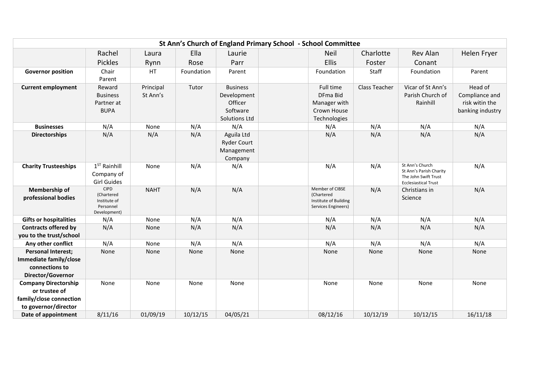|                                                                                                 |                                                                        |                       |            |                                                                        | St Ann's Church of England Primary School - School Committee                  |                      |                                                                                                   |                                                                 |
|-------------------------------------------------------------------------------------------------|------------------------------------------------------------------------|-----------------------|------------|------------------------------------------------------------------------|-------------------------------------------------------------------------------|----------------------|---------------------------------------------------------------------------------------------------|-----------------------------------------------------------------|
|                                                                                                 | Rachel                                                                 | Laura                 | Ella       | Laurie                                                                 | <b>Neil</b>                                                                   | Charlotte            | Rev Alan                                                                                          | Helen Fryer                                                     |
|                                                                                                 | <b>Pickles</b>                                                         | Rynn                  | Rose       | Parr                                                                   | Ellis                                                                         | Foster               | Conant                                                                                            |                                                                 |
| <b>Governor position</b>                                                                        | Chair<br>Parent                                                        | HT                    | Foundation | Parent                                                                 | Foundation                                                                    | Staff                | Foundation                                                                                        | Parent                                                          |
| <b>Current employment</b>                                                                       | Reward<br><b>Business</b><br>Partner at<br><b>BUPA</b>                 | Principal<br>St Ann's | Tutor      | <b>Business</b><br>Development<br>Officer<br>Software<br>Solutions Ltd | Full time<br>DFma Bid<br>Manager with<br>Crown House<br>Technologies          | <b>Class Teacher</b> | Vicar of St Ann's<br>Parish Church of<br>Rainhill                                                 | Head of<br>Compliance and<br>risk witin the<br>banking industry |
| <b>Businesses</b>                                                                               | N/A                                                                    | None                  | N/A        | N/A                                                                    | N/A                                                                           | N/A                  | N/A                                                                                               | N/A                                                             |
| <b>Directorships</b>                                                                            | N/A                                                                    | N/A                   | N/A        | Aguila Ltd<br><b>Ryder Court</b><br>Management<br>Company              | N/A                                                                           | N/A                  | N/A                                                                                               | N/A                                                             |
| <b>Charity Trusteeships</b>                                                                     | $1ST$ Rainhill<br>Company of<br><b>Girl Guides</b>                     | None                  | N/A        | N/A                                                                    | N/A                                                                           | N/A                  | St Ann's Church<br>St Ann's Parish Charity<br>The John Swift Trust<br><b>Ecclesiastical Trust</b> | N/A                                                             |
| Membership of<br>professional bodies                                                            | <b>CIPD</b><br>(Chartered<br>Institute of<br>Personnel<br>Development) | <b>NAHT</b>           | N/A        | N/A                                                                    | Member of CIBSE<br>(Chartered<br>Institute of Building<br>Services Engineers) | N/A                  | Christians in<br>Science                                                                          | N/A                                                             |
| <b>Gifts or hospitalities</b>                                                                   | N/A                                                                    | None                  | N/A        | N/A                                                                    | N/A                                                                           | N/A                  | N/A                                                                                               | N/A                                                             |
| <b>Contracts offered by</b><br>you to the trust/school                                          | N/A                                                                    | None                  | N/A        | N/A                                                                    | N/A                                                                           | N/A                  | N/A                                                                                               | N/A                                                             |
| Any other conflict                                                                              | N/A                                                                    | None                  | N/A        | N/A                                                                    | N/A                                                                           | N/A                  | N/A                                                                                               | N/A                                                             |
| <b>Personal Interest;</b><br>Immediate family/close<br>connections to<br>Director/Governor      | None                                                                   | None                  | None       | None                                                                   | None                                                                          | None                 | None                                                                                              | None                                                            |
| <b>Company Directorship</b><br>or trustee of<br>family/close connection<br>to governor/director | None                                                                   | None                  | None       | None                                                                   | None                                                                          | None                 | None                                                                                              | None                                                            |
| Date of appointment                                                                             | 8/11/16                                                                | 01/09/19              | 10/12/15   | 04/05/21                                                               | 08/12/16                                                                      | 10/12/19             | 10/12/15                                                                                          | 16/11/18                                                        |